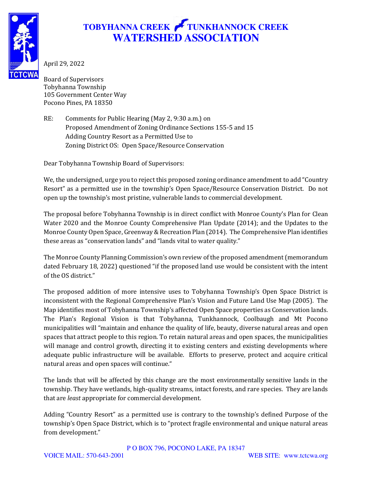

## **TOBYHANNA CREEK TUNKHANNOCK CREEK WATERSHED ASSOCIATION**

April 29, 2022

Board of Supervisors Tobyhanna Township 105 Government Center Way Pocono Pines, PA 18350

RE: Comments for Public Hearing (May 2, 9:30 a.m.) on Proposed Amendment of Zoning Ordinance Sections 155-5 and 15 Adding Country Resort as a Permitted Use to Zoning District OS: Open Space/Resource Conservation

Dear Tobyhanna Township Board of Supervisors:

We, the undersigned, urge you to reject this proposed zoning ordinance amendment to add "Country Resort" as a permitted use in the township's Open Space/Resource Conservation District. Do not open up the township's most pristine, vulnerable lands to commercial development.

The proposal before Tobyhanna Township is in direct conflict with Monroe County's Plan for Clean Water 2020 and the Monroe County Comprehensive Plan Update (2014); and the Updates to the Monroe County Open Space, Greenway & Recreation Plan (2014). The Comprehensive Plan identifies these areas as "conservation lands" and "lands vital to water quality."

The Monroe County Planning Commission's own review of the proposed amendment (memorandum dated February 18, 2022) questioned "if the proposed land use would be consistent with the intent of the OS district."

The proposed addition of more intensive uses to Tobyhanna Township's Open Space District is inconsistent with the Regional Comprehensive Plan's Vision and Future Land Use Map (2005). The Map identifies most of Tobyhanna Township's affected Open Space properties as Conservation lands. The Plan's Regional Vision is that Tobyhanna, Tunkhannock, Coolbaugh and Mt Pocono municipalities will "maintain and enhance the quality of life, beauty, diverse natural areas and open spaces that attract people to this region. To retain natural areas and open spaces, the municipalities will manage and control growth, directing it to existing centers and existing developments where adequate public infrastructure will be available. Efforts to preserve, protect and acquire critical natural areas and open spaces will continue."

The lands that will be affected by this change are the most environmentally sensitive lands in the township. They have wetlands, high-quality streams, intact forests, and rare species. They are lands that are *least* appropriate for commercial development.

Adding "Country Resort" as a permitted use is contrary to the township's defined Purpose of the township's Open Space District, which is to "protect fragile environmental and unique natural areas from development."